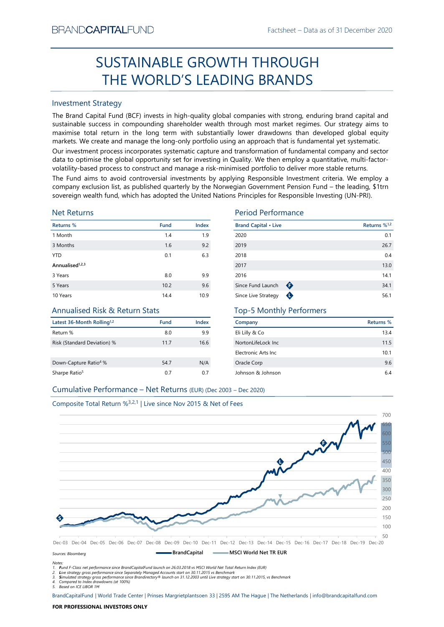# SUSTAINABLE GROWTH THROUGH THE WORLD'S LEADING BRANDS

#### Investment Strategy

The Brand Capital Fund (BCF) invests in high-quality global companies with strong, enduring brand capital and sustainable success in compounding shareholder wealth through most market regimes. Our strategy aims to maximise total return in the long term with substantially lower drawdowns than developed global equity markets. We create and manage the long-only portfolio using an approach that is fundamental yet systematic.

Our investment process incorporates systematic capture and transformation of fundamental company and sector data to optimise the global opportunity set for investing in Quality. We then employ a quantitative, multi-factorvolatility-based process to construct and manage a risk-minimised portfolio to deliver more stable returns.

The Fund aims to avoid controversial investments by applying Responsible Investment criteria. We employ a company exclusion list, as published quarterly by the Norwegian Government Pension Fund – the leading, \$1trn sovereign wealth fund, which has adopted the United Nations Principles for Responsible Investing (UN-PRI).

#### Net Returns

| Returns %                   | <b>Fund</b> | <b>Index</b> |
|-----------------------------|-------------|--------------|
| 1 Month                     | 1.4         | 1.9          |
| 3 Months                    | 1.6         | 9.2          |
| <b>YTD</b>                  | 0.1         | 6.3          |
| Annualised <sup>1,2,3</sup> |             |              |
| 3 Years                     | 8.0         | 9.9          |
| 5 Years                     | 10.2        | 9.6          |
| 10 Years                    | 14.4        | 10.9         |

### Annualised Risk & Return Stats

| Latest 36-Month Rolling <sup>1,2</sup> | <b>Fund</b> | Index |
|----------------------------------------|-------------|-------|
| Return %                               | 8.0         | 9.9   |
| Risk (Standard Deviation) %            | 11.7        | 16.6  |
| Down-Capture Ratio <sup>4</sup> %      | 54.7        | N/A   |
| Sharpe Ratio <sup>5</sup>              | 0.7         | 07    |

#### Period Performance

| <b>Brand Capital • Live</b> |           | Returns % <sup>1,2</sup> |
|-----------------------------|-----------|--------------------------|
| 2020                        |           | 0.1                      |
| 2019                        |           | 26.7                     |
| 2018                        |           | 0.4                      |
| 2017                        |           | 13.0                     |
| 2016                        |           | 14.1                     |
| Since Fund Launch           | ➊         | 34.1                     |
| Since Live Strategy         | $\bullet$ | 56.1                     |

#### Top-5 Monthly Performers

| Company             | Returns % |
|---------------------|-----------|
| Eli Lilly & Co      | 13.4      |
| NortonLifeLock Inc. | 11.5      |
| Electronic Arts Inc | 10.1      |
| Oracle Corp         | 9.6       |
| Johnson & Johnson   | 64        |

#### Cumulative Performance – Net Returns (EUR) (Dec 2003 – Dec 2020)

#### Composite Total Return %3,2,1 | Live since Nov 2015 & Net of Fees



*Notes:*

*1. Fund F-Class net performance since BrandCapitalFund launch on 26.03.2018 vs MSCI World Net Total Return Index (EUR)*

2. Live strategy gross performance since Separately Managed Accounts start on 30.11.2015 vs Benchmark<br>3. Simulated strategy gross performance since Brandirectory® launch on 31.12.2003 until Live strategy start on 30.11.201

*4. Compared to Index drawdowns (at 100%) 5. Based on ICE LIBOR 1M*